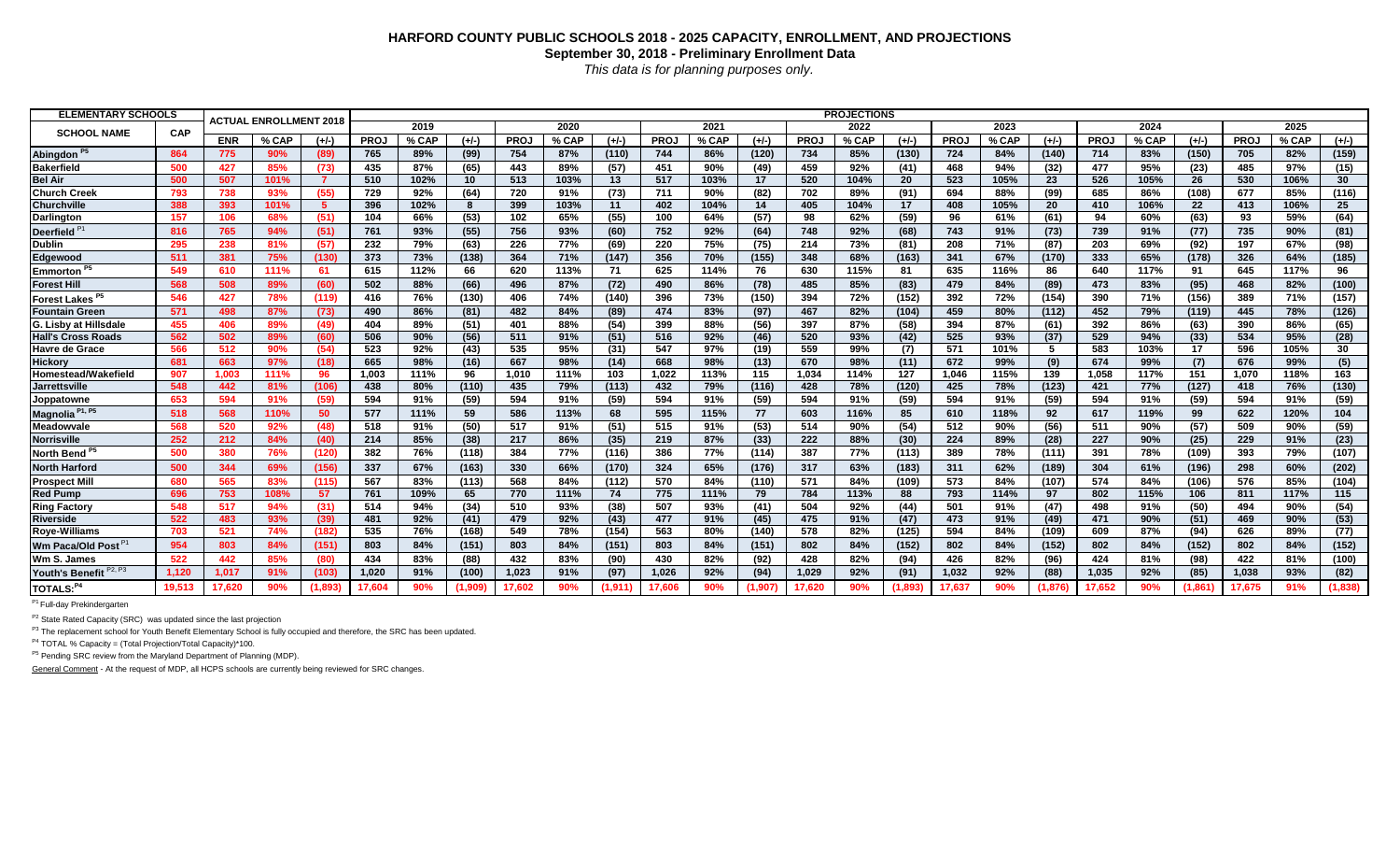## **HARFORD COUNTY PUBLIC SCHOOLS 2018 - 2025 CAPACITY, ENROLLMENT, AND PROJECTIONS September 30, 2018 - Preliminary Enrollment Data** *This data is for planning purposes only.*

| <b>ELEMENTARY SCHOOLS</b>          |        |            | <b>ACTUAL ENROLLMENT 2018</b> |         |             |       |         |             |       |         |        |       |         | <b>PROJECTIONS</b> |       |                               |        |       |         |             |       |         |             |       |         |
|------------------------------------|--------|------------|-------------------------------|---------|-------------|-------|---------|-------------|-------|---------|--------|-------|---------|--------------------|-------|-------------------------------|--------|-------|---------|-------------|-------|---------|-------------|-------|---------|
| <b>SCHOOL NAME</b>                 | CAP    |            |                               |         |             | 2019  |         |             | 2020  |         |        | 2021  |         |                    | 2022  |                               |        | 2023  |         |             | 2024  |         |             | 2025  |         |
|                                    |        | <b>ENR</b> | % CAP                         | $(1/-)$ | <b>PROJ</b> | % CAP | $(+/-)$ | <b>PROJ</b> | % CAP | $(+/-)$ | PRO.   | % CAP | $(+/-)$ | <b>PROJ</b>        | % CAP | $(+/-)$                       | PRO.   | % CAP | $(+/-)$ | <b>PROJ</b> | % CAP | $(+/-)$ | <b>PROJ</b> | % CAP | $(+/-)$ |
| Abingdon <sup>P5</sup>             | 864    | 775        |                               | (89)    | 765         | 89%   | (99)    | 754         | 87%   | (110)   | 744    | 86%   | (120)   | 734                | 85%   | (130)                         | 724    | 84%   | (140)   | 714         | 83%   | (150)   | 705         | 82%   | (159)   |
| <b>Bakerfield</b>                  | 500    | 427        | 85%                           | (73)    | 435         | 87%   | (65)    | 443         | 89%   | (57)    | 451    | 90%   | (49)    | 459                | 92%   | (41)                          | 468    | 94%   | (32)    | 477         | 95%   | (23)    | 485         | 97%   | (15)    |
| <b>Bel Air</b>                     | 500    | 507        | 101%                          | - 7     | 510         | 102%  | 10      | 513         | 103%  | 13      | 517    | 103%  | 17      | 520                | 104%  | 20                            | 523    | 105%  | 23      | 526         | 105%  | 26      | 530         | 106%  | 30      |
| <b>Church Creek</b>                | 793    | 738        | 93%                           | (55)    | 729         | 92%   | (64)    | 720         | 91%   | (73)    | 711    | 90%   | (82)    | 702                | 89%   | (91)                          | 694    | 88%   | (99)    | 685         | 86%   | (108)   | 677         | 85%   | (116)   |
| Churchville                        | 388    | 393        | 101%                          | -5      | 396         | 102%  | -8      | 399         | 103%  | 11      | 402    | 104%  | 14      | 405                | 104%  | 17                            | 408    | 105%  | 20      | 410         | 106%  | 22      | 413         | 106%  | 25      |
| Darlington                         | 157    | 106        | 68%                           | (51)    | 104         | 66%   | (53)    | 102         | 65%   | (55)    | 100    | 64%   | (57)    | 98                 | 62%   | (59)                          | 96     | 61%   | (61)    | 94          | 60%   | (63)    | 93          | 59%   | (64)    |
| <b>Deerfield</b>                   | 816    | 765        | 94%                           | (51)    | 761         | 93%   | (55)    | 756         | 93%   | (60)    | 752    | 92%   | (64)    | 748                | 92%   | (68)                          | 743    | 91%   | (73)    | 739         | 91%   | (77)    | 735         | 90%   | (81)    |
| <b>Dublin</b>                      | 295    | 238        | 81%                           | (57)    | 232         | 79%   | (63)    | 226         | 77%   | (69)    | 220    | 75%   | (75)    | 214                | 73%   | (81)                          | 208    | 71%   | (87)    | 203         | 69%   | (92)    | 197         | 67%   | (98)    |
| Edgewood                           | 511    | 381        | 75%                           | (130)   | 373         | 73%   | (138)   | 364         | 71%   | (147)   | 356    | 70%   | (155)   | 348                | 68%   | (163)                         | 341    | 67%   | (170)   | 333         | 65%   | (178)   | 326         | 64%   | (185)   |
| Emmorton                           | 549    | 610        | 111%                          | 61      | 615         | 112%  | 66      | 620         | 113%  | 71      | 625    | 114%  | 76      | 630                | 115%  | 81                            | 635    | 116%  | 86      | 640         | 117%  | 91      | 645         | 117%  | 96      |
| <b>Forest Hill</b>                 | 568    | 508        | 89%                           | (60)    | 502         | 88%   | (66)    | 496         | 87%   | (72)    | 490    | 86%   | (78)    | 485                | 85%   | (83)                          | 479    | 84%   | (89)    | 473         | 83%   | (95)    | 468         | 82%   | (100)   |
| <b>Forest Lakes</b>                | 546    | 427        | 78%                           | (119)   | 416         | 76%   | (130)   | 406         | 74%   | (140)   | 396    | 73%   | (150)   | 394                | 72%   | (152)                         | 392    | 72%   | (154)   | 390         | 71%   | (156)   | 389         | 71%   | (157)   |
| <b>Fountain Green</b>              | 571    | 498        | 87%                           | (73)    | 490         | 86%   | (81)    | 482         | 84%   | (89)    | 474    | 83%   | (97)    | 467                | 82%   | (104)                         | 459    | 80%   | (112)   | 452         | 79%   | (119)   | 445         | 78%   | (126)   |
| G. Lisby at Hillsdale              | 455    | 406        | 89%                           | (49)    | 404         | 89%   | (51)    | 401         | 88%   | (54)    | 399    | 88%   | (56)    | 397                | 87%   | (58)                          | 394    | 87%   | (61)    | 392         | 86%   | (63)    | 390         | 86%   | (65)    |
| <b>Hall's Cross Roads</b>          | 562    | 502        | 89%                           | (60)    | 506         | 90%   | (56)    | 511         | 91%   | (51)    | 516    | 92%   | (46)    | 520                | 93%   | (42)                          | 525    | 93%   | (37)    | 529         | 94%   | (33)    | 534         | 95%   | (28)    |
| <b>Havre de Grace</b>              | 566    | 512        | 90%                           | (54)    | 523         | 92%   | (43)    | 535         | 95%   | (31)    | 547    | 97%   | (19)    | 559                | 99%   | (7)                           | 571    | 101%  | 5.      | 583         | 103%  | 17      | 596         | 105%  | 30      |
| <b>Hickory</b>                     | 681    | 663        | 97%                           | (18)    | 665         | 98%   | (16)    | 667         | 98%   | (14)    | 668    | 98%   | (13)    | 670                | 98%   | (11)                          | 672    | 99%   | (9)     | 674         | 99%   | (7)     | 676         | 99%   | (5)     |
| Homestead/Wakefield                | 907    | 1.003      | 111%                          | 96      | 1.003       | 111%  | 96      | 1.010       | 111%  | 103     | 1.022  | 113%  | 115     | 1.034              | 114%  | 127                           | 1.046  | 115%  | 139     | 1,058       | 117%  | 151     | 1.070       | 118%  | 163     |
| <b>Jarrettsville</b>               | 548    | 442        | 81%                           | (106)   | 438         | 80%   | (110)   | 435         | 79%   | (113)   | 432    | 79%   | (116)   | 428                | 78%   | (120)                         | 425    | 78%   | (123)   | 421         | 77%   | (127)   | 418         | 76%   | (130)   |
| Joppatowne                         | 653    | 594        | 91%                           | (59)    | 594         | 91%   | (59)    | 594         | 91%   | (59)    | 594    | 91%   | (59)    | 594                | 91%   | (59)                          | 594    | 91%   | (59)    | 594         | 91%   | (59)    | 594         | 91%   | (59)    |
| P1, P5<br><b>Magnolia</b>          | 518    | 568        | 110%                          | 50      | 577         | 111%  | 59      | 586         | 113%  | 68      | 595    | 115%  | 77      | 603                | 116%  | 85                            | 610    | 118%  | 92      | 617         | 119%  | 99      | 622         | 120%  | 104     |
| Meadowvale                         | 568    | 520        | 92%                           | (48)    | 518         | 91%   | (50)    | 517         | 91%   | (51)    | 515    | 91%   | (53)    | 514                | 90%   | (54)                          | 512    | 90%   | (56)    | 511         | 90%   | (57)    | 509         | 90%   | (59)    |
| <b>Norrisville</b>                 | 252    | 212        | 84%                           | (40)    | 214         | 85%   | (38)    | 217         | 86%   | (35)    | 219    | 87%   | (33)    | 222                | 88%   | (30)                          | 224    | 89%   | (28)    | 227         | 90%   | (25)    | 229         | 91%   | (23)    |
| North Bend <sup>P5</sup>           | 500    | 380        | 76%                           | (120)   | 382         | 76%   | (118)   | 384         | 77%   | (116)   | 386    | 77%   | (114)   | 387                | 77%   | (113)                         | 389    | 78%   | (111)   | 391         | 78%   | (109)   | 393         | 79%   | (107)   |
| <b>North Harford</b>               | 500    | 344        | 69%                           | (156)   | 337         | 67%   | (163)   | 330         | 66%   | (170)   | 324    | 65%   | (176)   | 317                | 63%   | (183)                         | 311    | 62%   | (189)   | 304         | 61%   | (196)   | 298         | 60%   | (202)   |
| <b>Prospect Mill</b>               | 680    | 565        | 83%                           | (115)   | 567         | 83%   | (113)   | 568         | 84%   | (112)   | 570    | 84%   | (110)   | 571                | 84%   | (109)                         | 573    | 84%   | (107)   | 574         | 84%   | (106)   | 576         | 85%   | (104)   |
| <b>Red Pump</b>                    | 696    | 753        | 108%                          | -57     | 761         | 109%  | 65      | 770         | 111%  | 74      | 775    | 111%  | 79      | 784                | 113%  | 88                            | 793    | 114%  | 97      | 802         | 115%  | 106     | 811         | 117%  | 115     |
| <b>Ring Factory</b>                | 548    | 517        | 94%                           | (31)    | 514         | 94%   | (34)    | 510         | 93%   | (38)    | 507    | 93%   | (41)    | 504                | 92%   | (44)                          | 501    | 91%   | (47)    | 498         | 91%   | (50)    | 494         | 90%   | (54)    |
| <b>Riverside</b>                   | 522    | 483        | 93%                           | (39)    | 481         | 92%   | (41)    | 479         | 92%   | (43)    | 477    | 91%   | (45)    | 475                | 91%   | (47)                          | 473    | 91%   | (49)    | 471         | 90%   | (51)    | 469         | 90%   | (53)    |
| Roye-Williams                      | 703    | 521        | 74%                           | (182)   | 535         | 76%   | (168)   | 549         | 78%   | (154)   | 563    | 80%   | (140)   | 578                | 82%   | (125)                         | 594    | 84%   | (109)   | 609         | 87%   | (94)    | 626         | 89%   | (77)    |
| Wm Paca/Old Post <sup>P1</sup>     | 954    | 803        | 84%                           | (151)   | 803         | 84%   | (151)   | 803         | 84%   | (151)   | 803    | 84%   | (151)   | 802                | 84%   | (152)                         | 802    | 84%   | (152)   | 802         | 84%   | (152)   | 802         | 84%   | (152)   |
| Wm S. James                        | 522    | 442        | 85%                           | (80)    | 434         | 83%   | (88)    | 432         | 83%   | (90)    | 430    | 82%   | (92)    | 428                | 82%   | (94)                          | 426    | 82%   | (96)    | 424         | 81%   | (98)    | 422         | 81%   | (100)   |
| Youth's Benefit P <sub>2, P3</sub> | 1.120  | 1.017      | 91%                           | (103)   | 1.020       | 91%   | (100)   | 1.023       | 91%   | (97)    | 1,026  | 92%   | (94)    | 1,029              | 92%   | (91)                          | 1,032  | 92%   | (88)    | 1,035       | 92%   | (85)    | 1,038       | 93%   | (82)    |
| TOTALS: <sup>P4</sup>              | 19,513 | 17.620     |                               | (1.893) | 17.604      |       | (1,909) | 17.602      | 90%   | (1.911) | 17.606 | 90%   | (907-   | 17.620             | 90%   | $^{\prime}$ 1.893 $^{\prime}$ | 17.637 | 90%   | (1.876) | 17.652      | 90%   | (1.861) | 17.675      | 91%   | (1,838) |

<sup>P1</sup> Full-day Prekindergarten

 $P2$  State Rated Capacity (SRC) was updated since the last projection

<sup>P3</sup> The replacement school for Youth Benefit Elementary School is fully occupied and therefore, the SRC has been updated.

 $P4$  TOTAL % Capacity = (Total Projection/Total Capacity)\*100.

<sup>P5</sup> Pending SRC review from the Maryland Department of Planning (MDP).

General Comment - At the request of MDP, all HCPS schools are currently being reviewed for SRC changes.